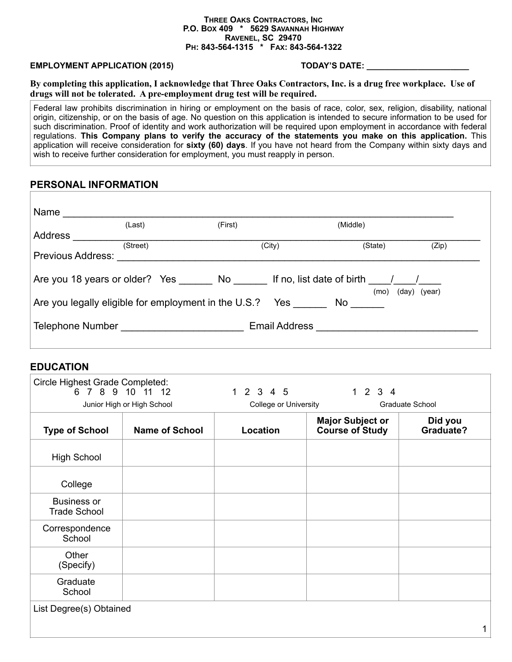#### **THREE OAKS CONTRACTORS, INC P.O. BOX 409 \* 5629 SAVANNAH HIGHWAY RAVENEL, SC 29470 PH: 843-564-1315 \* FAX: 843-564-1322**

#### **EMPLOYMENT APPLICATION (2015) TODAY'S DATE: \_\_\_\_\_\_\_\_\_\_\_\_\_\_\_\_\_\_\_\_\_\_**

**By completing this application, I acknowledge that Three Oaks Contractors, Inc. is a drug free workplace. Use of drugs will not be tolerated. A pre-employment drug test will be required.** 

Federal law prohibits discrimination in hiring or employment on the basis of race, color, sex, religion, disability, national origin, citizenship, or on the basis of age. No question on this application is intended to secure information to be used for such discrimination. Proof of identity and work authorization will be required upon employment in accordance with federal regulations. **This Company plans to verify the accuracy of the statements you make on this application.** This application will receive consideration for **sixty (60) days**. If you have not heard from the Company within sixty days and wish to receive further consideration for employment, you must reapply in person.

#### **PERSONAL INFORMATION**

|                   | (Last)   | (First)                                                         | (Middle)       |              |
|-------------------|----------|-----------------------------------------------------------------|----------------|--------------|
| Address           |          |                                                                 |                |              |
| Previous Address: | (Street) | (City)                                                          | (State)        | (Zip)        |
|                   |          | Are you 18 years or older? Yes No If no, list date of birth / / |                |              |
|                   |          | Are you legally eligible for employment in the U.S.?            | (mo)<br>Yes No | (day) (year) |
|                   |          |                                                                 |                |              |

#### **EDUCATION**

|                                           | 6 7 8 9 10 11 12<br>Junior High or High School | 1 2 3 4 5<br>College or University | 1234                                              | Graduate School      |
|-------------------------------------------|------------------------------------------------|------------------------------------|---------------------------------------------------|----------------------|
| <b>Type of School</b>                     | <b>Name of School</b>                          | Location                           | <b>Major Subject or</b><br><b>Course of Study</b> | Did you<br>Graduate? |
| <b>High School</b>                        |                                                |                                    |                                                   |                      |
| College                                   |                                                |                                    |                                                   |                      |
| <b>Business or</b><br><b>Trade School</b> |                                                |                                    |                                                   |                      |
| Correspondence<br>School                  |                                                |                                    |                                                   |                      |
| Other<br>(Specify)                        |                                                |                                    |                                                   |                      |
| Graduate<br>School                        |                                                |                                    |                                                   |                      |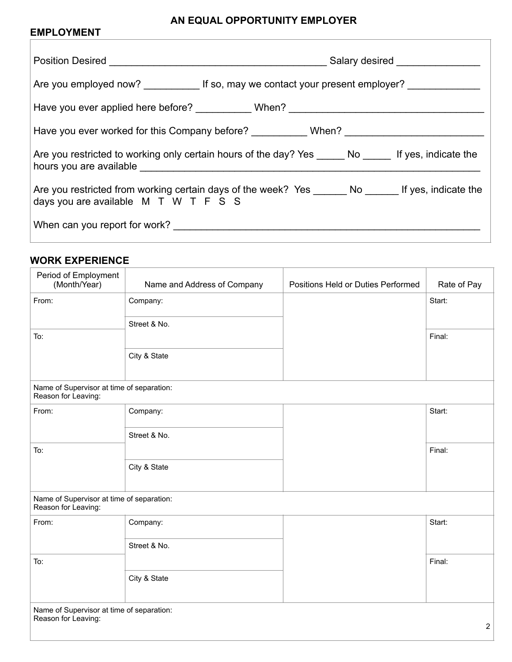# **AN EQUAL OPPORTUNITY EMPLOYER**

# **EMPLOYMENT**

| Are you employed now? ______________ If so, may we contact your present employer? _________________                                                                        |  |  |
|----------------------------------------------------------------------------------------------------------------------------------------------------------------------------|--|--|
| Have you ever applied here before? ___________ When? ___________________________                                                                                           |  |  |
| Have you ever worked for this Company before? ___________ When? _________________                                                                                          |  |  |
| Are you restricted to working only certain hours of the day? Yes ______ No ______ If yes, indicate the<br>hours you are available <b>contained hours</b> you are available |  |  |
| Are you restricted from working certain days of the week? Yes ________ No _______ If yes, indicate the<br>days you are available M T W T F S S                             |  |  |
|                                                                                                                                                                            |  |  |

### **WORK EXPERIENCE**

| Period of Employment<br>(Month/Year)                             | Name and Address of Company | Positions Held or Duties Performed | Rate of Pay    |
|------------------------------------------------------------------|-----------------------------|------------------------------------|----------------|
| From:                                                            | Company:                    |                                    | Start:         |
|                                                                  | Street & No.                |                                    |                |
| To:                                                              |                             |                                    | Final:         |
|                                                                  | City & State                |                                    |                |
| Name of Supervisor at time of separation:<br>Reason for Leaving: |                             |                                    |                |
| From:                                                            | Company:                    |                                    | Start:         |
|                                                                  | Street & No.                |                                    |                |
| To:                                                              |                             |                                    | Final:         |
|                                                                  | City & State                |                                    |                |
| Name of Supervisor at time of separation:<br>Reason for Leaving: |                             |                                    |                |
| From:                                                            | Company:                    |                                    | Start:         |
|                                                                  | Street & No.                |                                    |                |
| To:                                                              |                             |                                    | Final:         |
|                                                                  | City & State                |                                    |                |
| Name of Supervisor at time of separation:<br>Reason for Leaving: |                             |                                    | $\overline{2}$ |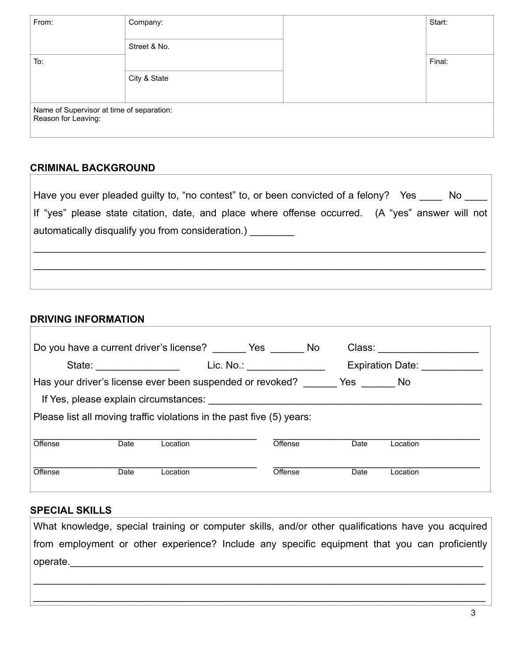| From:                                                            | Company:     | Start: |
|------------------------------------------------------------------|--------------|--------|
|                                                                  | Street & No. |        |
| To:                                                              |              | Final: |
|                                                                  | City & State |        |
| Name of Supervisor at time of separation:<br>Reason for Leaving: |              |        |

# **CRIMINAL BACKGROUND**

| Have you ever pleaded guilty to, "no contest" to, or been convicted of a felony? Yes No          |
|--------------------------------------------------------------------------------------------------|
| lf "yes" please state citation, date, and place where offense occurred. (A "yes" answer will not |
| automatically disqualify you from consideration.)                                                |
|                                                                                                  |
|                                                                                                  |
|                                                                                                  |

# **DRIVING INFORMATION**

 $\overline{1}$ 

|                                                                                                                |                         | Do you have a current driver's license? _______ Yes ______ No |                                                           | Class: |                  |  |
|----------------------------------------------------------------------------------------------------------------|-------------------------|---------------------------------------------------------------|-----------------------------------------------------------|--------|------------------|--|
|                                                                                                                | State: <u>_________</u> |                                                               | Lic. No.: $\qquad \qquad$                                 |        | Expiration Date: |  |
|                                                                                                                |                         |                                                               | Has your driver's license ever been suspended or revoked? | Yes No |                  |  |
| If Yes, please explain circumstances: Web and the set of the set of the set of the set of the set of the set o |                         |                                                               |                                                           |        |                  |  |
| Please list all moving traffic violations in the past five (5) years:                                          |                         |                                                               |                                                           |        |                  |  |
|                                                                                                                |                         |                                                               |                                                           |        |                  |  |
|                                                                                                                |                         |                                                               |                                                           |        |                  |  |
| Offense                                                                                                        | Date                    | Location                                                      | Offense                                                   | Date   | Location         |  |

# **SPECIAL SKILLS**

What knowledge, special training or computer skills, and/or other qualifications have you acquired from employment or other experience? Include any specific equipment that you can proficiently operate.

 $\_$ 

 $\_$